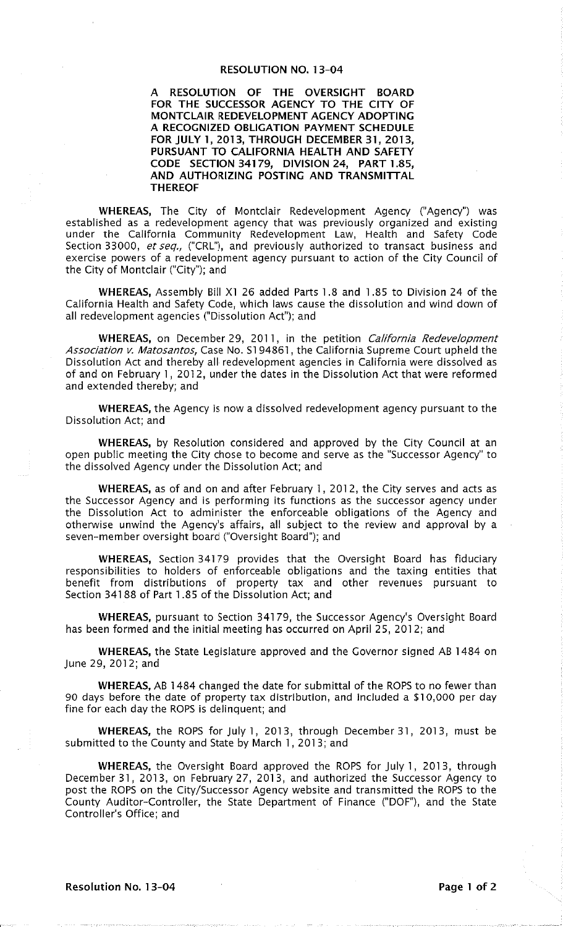# **RESOLUTION NO. 13-04**

A RESOLUTION OF THE OVERSIGHT BOARD<br>FOR THE SUCCESSOR AGENCY TO THE CITY OF MONTCLAIR REDEVELOPMENT AGENCY ADOPTING A RECOGNIZED OBLIGATION PAYMENT SCHEDULE FOR JULY 1, 2013, THROUGH DECEMBER 31, 2013, PURSUANT TO CALIFORNIA HEALTH AND SAFETY CODE SECTION 34179, DIVISION 24, PART 1.85, AND AUTHORIZING POSTING AND TRANSMITTAL **THEREOF** 

WHEREAS, The City of Montclair Redevelopment Agency ("Agency") was established as a redevelopment agency that was previously organized and existing under the California Community Redevelopment Law, Health and Safety Code Section 33000, et seq., ("CRL"), and previously authorized to transact business and exercise powers of a redevelopment agency pursuant to action of the City Council of the City of Montclair ("City"); and

WHEREAS, Assembly Bill X1 26 added Parts 1.8 and 1.85 to Division 24 of the California Health and Safety Code, which laws cause the dissolution and wind down of all redevelopment agencies ("Dissolution Act"); and

WHEREAS, on December 29, 2011, in the petition California Redevelopment Association v. Matosantos, Case No. S194861, the California Supreme Court upheld the Dissolution Act and thereby all redevelopment agencies in California were dissolved as of and on February 1, 2012, under the dates in the Dissolution Act that were reformed and extended thereby; and

WHEREAS, the Agency is now a dissolved redevelopment agency pursuant to the Dissolution Act; and

WHEREAS, by Resolution considered and approved by the City Council at an open public meeting the City chose to become and serve as the "Successor Agency" to the dissolved Agency under the Dissolution Act; and

WHEREAS, as of and on and after February 1, 2012, the City serves and acts as the Successor Agency and is performing its functions as the successor agency under the Dissolution Act to administer the enforceable obligations of the Agency and otherwise unwind the Agency's affairs, all subject to the review and approval by a seven-member oversight board ("Oversight Board"); and

WHEREAS, Section 34179 provides that the Oversight Board has fiduciary responsibilities to holders of enforceable obligations and the taxing entities that benefit from distributions of property tax and other revenues pursuant to Section 34188 of Part 1.85 of the Dissolution Act; and

WHEREAS, pursuant to Section 34179, the Successor Agency's Oversight Board has been formed and the initial meeting has occurred on April 25, 2012; and

WHEREAS, the State Legislature approved and the Governor signed AB 1484 on June 29, 2012; and

WHEREAS, AB 1484 changed the date for submittal of the ROPS to no fewer than 90 days before the date of property tax distribution, and included a \$10,000 per day fine for each day the ROPS is delinquent; and

WHEREAS, the ROPS for July 1, 2013, through December 31, 2013, must be submitted to the County and State by March 1, 2013; and

WHEREAS, the Oversight Board approved the ROPS for July 1, 2013, through December 31, 2013, on February 27, 2013, and authorized the Successor Agency to post the ROPS on the City/Successor Agency website and transmitted the ROPS to the County Auditor-Controller, the State Department of Finance ("DOF"), and the State Controller's Office; and

Resolution No. 13-04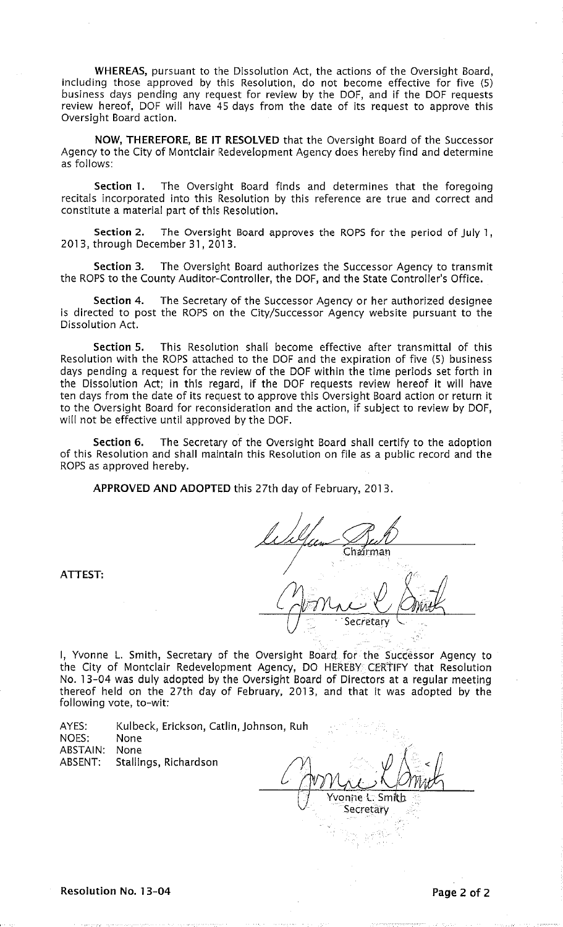WHEREAS, pursuant to the Dissolution Act, the actions of the Oversight Board, including those approved by this Resolution, do not become effective for five (5) business days pending any request for review by the DOF, and if the DOF requests review hereof, DOF will have 45 days from the date of its request to approve this Oversight Board action.

NOW, THEREFORE, BE IT RESOLVED that the Oversight Board of the Successor Agency to the City of Montclair Redevelopment Agency does hereby find and determine as follows:

Section 1. The Oversight Board finds and determines that the foregoing recitals incorporated into this Resolution by this reference are true and correct and constitute a material part of this Resolution.

Section 2. The Oversight Board approves the ROPS for the period of July 1. 2013, through December 31, 2013.

Section 3. The Oversight Board authorizes the Successor Agency to transmit the ROPS to the County Auditor-Controller, the DOF, and the State Controller's Office.

Section 4. The Secretary of the Successor Agency or her authorized designee is directed to post the ROPS on the City/Successor Agency website pursuant to the Dissolution Act.

Section 5. This Resolution shall become effective after transmittal of this Resolution with the ROPS attached to the DOF and the expiration of five (5) business days pending a request for the review of the DOF within the time periods set forth in<br>the Dissolution Act; in this regard, if the DOF requests review hereof it will have ten days from the date of its request to approve this Oversight Board action or return it to the Oversight Board for reconsideration and the action, if subject to review by DOF, will not be effective until approved by the DOF.

Section 6. The Secretary of the Oversight Board shall certify to the adoption of this Resolution and shall maintain this Resolution on file as a public record and the ROPS as approved hereby.

APPROVED AND ADOPTED this 27th day of February, 2013.

Chairman

I, Yvonne L. Smith, Secretary of the Oversight Board for the Successor Agency to the City of Montclair Redevelopment Agency, DO HEREBY CERTIFY that Resolution No. 13-04 was duly adopted by the Oversight Board of Directors at a regular meeting thereof held on the 27th day of February, 2013, and that it was adopted by the following vote, to-wit:

| AYES:           | Kulbeck, Erickson, Catlin, Johnson, Ruh |     |
|-----------------|-----------------------------------------|-----|
| NOES:           | None                                    |     |
| <b>ABSTAIN:</b> | None                                    |     |
| ABSENT:         | Stallings, Richardson                   |     |
|                 |                                         |     |
|                 |                                         | уþ. |

ATTEST: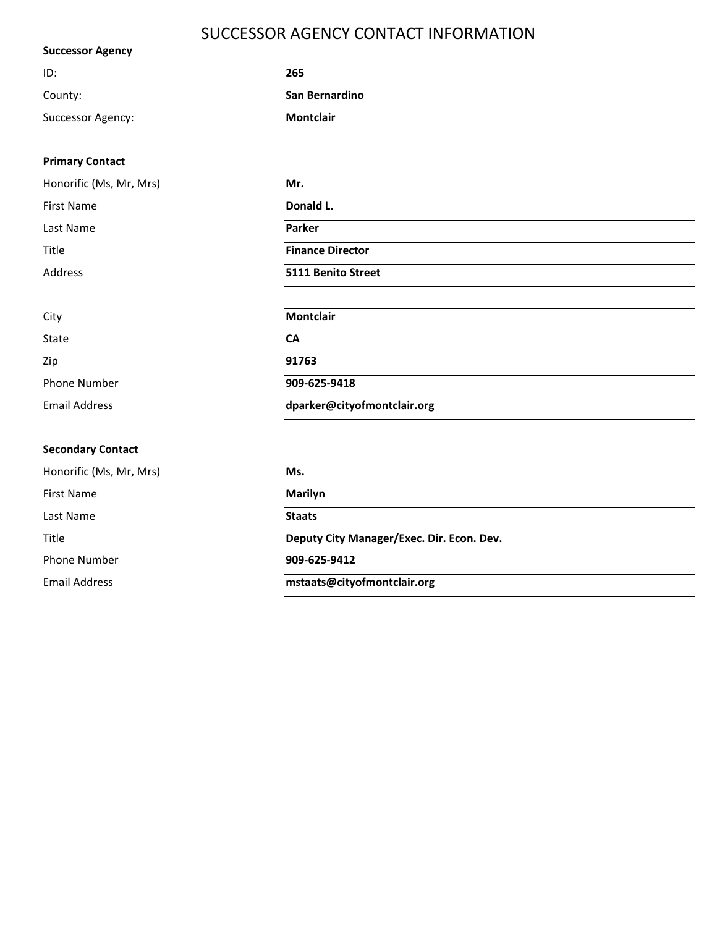# SUCCESSOR AGENCY CONTACT INFORMATION

| <b>Successor Agency</b> |                  |  |  |  |  |  |
|-------------------------|------------------|--|--|--|--|--|
| ID:                     | 265              |  |  |  |  |  |
| County:                 | San Bernardino   |  |  |  |  |  |
| Successor Agency:       | <b>Montclair</b> |  |  |  |  |  |

| <b>Primary Contact</b> |  |
|------------------------|--|
|------------------------|--|

| Honorific (Ms, Mr, Mrs) | Mr.                         |
|-------------------------|-----------------------------|
| <b>First Name</b>       | Donald L.                   |
| Last Name               | <b>Parker</b>               |
| Title                   | <b>Finance Director</b>     |
| Address                 | 5111 Benito Street          |
|                         |                             |
| City                    | Montclair                   |
| <b>State</b>            | <b>CA</b>                   |
| Zip                     | 91763                       |
| <b>Phone Number</b>     | 909-625-9418                |
| <b>Email Address</b>    | dparker@cityofmontclair.org |

## **Secondary Contact**

Honorific (Ms, Mr, Mrs) **Ms.** First Name **Marilyn** Last Name **Staats** Phone Number **909-625-9412**

Title **Deputy City Manager/Exec. Dir. Econ. Dev.**

Email Address **mstaats@cityofmontclair.org**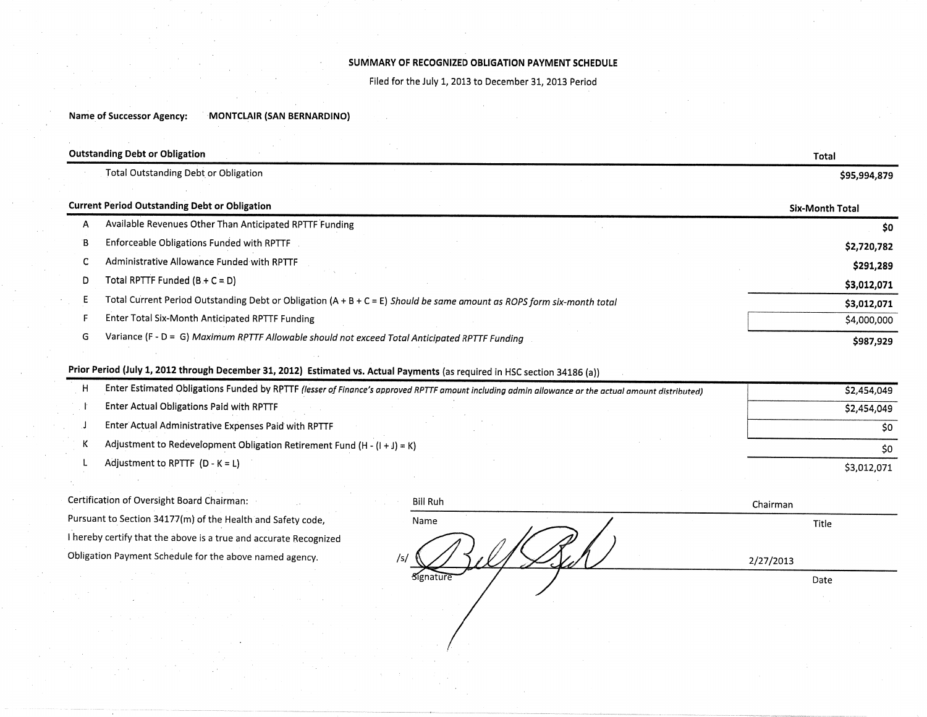### SUMMARY OF RECOGNIZED OBLIGATION PAYMENT SCHEDULE

Filed for the July 1, 2013 to December 31, 2013 Period

Name of Successor Agency: MONTCLAIR (SAN BERNARDINO)

|   | <b>Outstanding Debt or Obligation</b>                                                                                  |                        |  |  |  |  |  |
|---|------------------------------------------------------------------------------------------------------------------------|------------------------|--|--|--|--|--|
|   | Total Outstanding Debt or Obligation                                                                                   | \$95,994,879           |  |  |  |  |  |
|   | <b>Current Period Outstanding Debt or Obligation</b>                                                                   | <b>Six-Month Total</b> |  |  |  |  |  |
| Α | Available Revenues Other Than Anticipated RPTTF Funding                                                                | \$0                    |  |  |  |  |  |
| в | Enforceable Obligations Funded with RPTTF                                                                              | \$2,720,782            |  |  |  |  |  |
|   | Administrative Allowance Funded with RPTTF                                                                             | \$291,289              |  |  |  |  |  |
| D | Total RPTTF Funded $(B + C = D)$                                                                                       | \$3,012,071            |  |  |  |  |  |
|   | Total Current Period Outstanding Debt or Obligation (A + B + C = E) Should be same amount as ROPS form six-month total | \$3,012,071            |  |  |  |  |  |
|   | Enter Total Six-Month Anticipated RPTTF Funding                                                                        | \$4,000,000            |  |  |  |  |  |
| G | Variance (F - D = G) Maximum RPTTF Allowable should not exceed Total Anticipated RPTTF Funding                         | \$987,929              |  |  |  |  |  |

# Prior Period (July 1, 2012 through December 31, 2012) Estimated vs. Actual Payments (as required in HSC section 34186 (a))

| Enter Estimated Obligations Funded by RPTTF (lesser of Finance's approved RPTTF amount including admin allowance or the actual amount distributed) | \$2,454,049 |
|----------------------------------------------------------------------------------------------------------------------------------------------------|-------------|
| Enter Actual Obligations Paid with RPTTF                                                                                                           | \$2,454,049 |
| Enter Actual Administrative Expenses Paid with RPTTF                                                                                               | so.         |
| Adjustment to Redevelopment Obligation Retirement Fund $(H - (1 + 1) = K)$                                                                         | SO.         |
| Adjustment to RPTTF $(D - K = L)$                                                                                                                  | \$3,012,071 |

Certification of Oversight Board Chairman: Pursuant to Section 34177(m) of the Health and Safety code, I hereby certify that the above is a true and accurate Recognized Obligation Payment Schedule for the above named agency.

| <b>Bill Ruh</b><br><b>1979</b> | Chairman    |
|--------------------------------|-------------|
| Name                           | Title       |
| /s/                            | 2/27/2013   |
| Signature                      | Date        |
|                                |             |
|                                | <b>SALE</b> |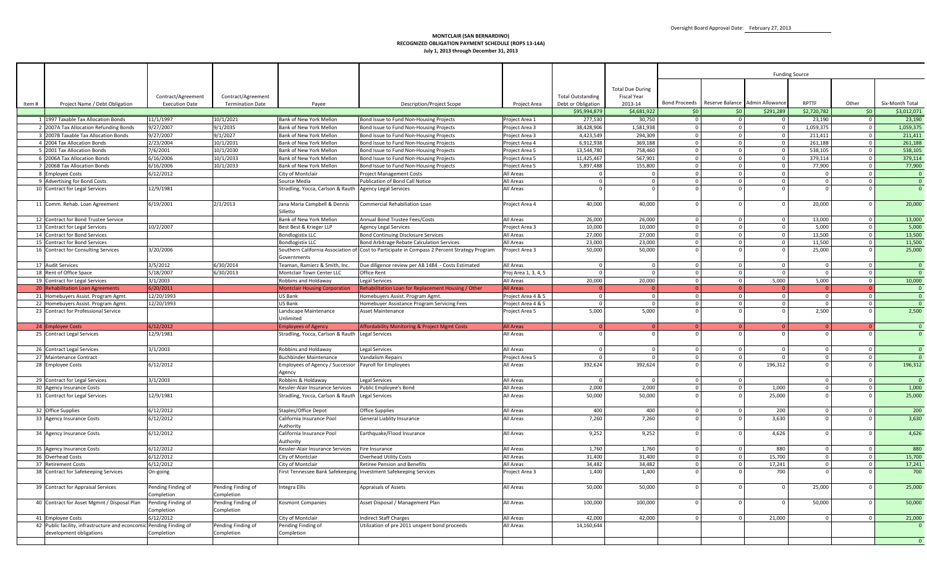#### **MONTCLAIR (SAN BERNARDINO) RECOGNIZED OBLIGATION PAYMENT SCHEDULE (ROPS 13-14A)July 1, 2013 through December 31, 2013**

|       |                                                                             |                                             |                                               |                                                  |                                                                                              |                                         |                                    |                               |                                |                                |                                 | <b>Funding Source</b>   |                      |                         |
|-------|-----------------------------------------------------------------------------|---------------------------------------------|-----------------------------------------------|--------------------------------------------------|----------------------------------------------------------------------------------------------|-----------------------------------------|------------------------------------|-------------------------------|--------------------------------|--------------------------------|---------------------------------|-------------------------|----------------------|-------------------------|
|       |                                                                             |                                             |                                               |                                                  |                                                                                              |                                         |                                    |                               |                                |                                |                                 |                         |                      |                         |
|       |                                                                             |                                             |                                               |                                                  |                                                                                              |                                         |                                    | <b>Total Due During</b>       |                                |                                |                                 |                         |                      |                         |
|       |                                                                             | Contract/Agreement<br><b>Execution Date</b> | Contract/Agreement<br><b>Termination Date</b> |                                                  |                                                                                              |                                         | <b>Total Outstanding</b>           | <b>Fiscal Year</b><br>2013-14 | <b>Bond Proceeds</b>           |                                | Reserve Balance Admin Allowance | <b>RPTTF</b>            | Other                | Six-Month Total         |
| Item# | Project Name / Debt Obligation                                              |                                             |                                               | Payee                                            | <b>Description/Project Scope</b>                                                             | Project Area                            | Debt or Obligation<br>\$95,994,879 | \$4,681,922                   | 50                             | \$0                            | \$291,289                       | \$2,720,782             | \$0                  | \$3,012,071             |
|       | 1 1997 Taxable Tax Allocation Bonds                                         | 11/1/1997                                   | 10/1/2021                                     | Bank of New York Mellon                          | Bond Issue to Fund Non-Housing Projects                                                      | Project Area 1                          | 277,530                            | 30.750                        | $\overline{0}$                 | $\mathbf{0}$                   | $\Omega$                        | 23,190                  | $\Omega$             | 23,190                  |
|       | 2 2007A Tax Allocation Refunding Bonds                                      | 9/27/2007                                   | 9/1/2035                                      | Bank of New York Mellon                          | Bond Issue to Fund Non-Housing Projects                                                      | Project Area 3                          | 38,428,906                         | 1,581,938                     | $\Omega$                       | $\mathbf{0}$                   | $\Omega$                        | 1,059,375               | $\Omega$             | 1,059,375               |
|       | 3 2007B Taxable Tax Allocation Bonds                                        | 9/27/2007                                   | 9/1/2027                                      | Bank of New York Mellon                          | Bond Issue to Fund Non-Housing Projects                                                      | roject Area 3                           | 4,423,549                          | 294,309                       | $\mathsf 0$                    | $\mathbf{0}$                   | $\overline{0}$                  | 211,411                 | $\Omega$             | 211,411                 |
|       | 4 2004 Tax Allocation Bonds                                                 | 2/23/2004                                   | 10/1/2031                                     | Bank of New York Mellon                          | Bond Issue to Fund Non-Housing Projects                                                      | roject Area 4                           | 6,912,938                          | 369,188                       | $\mathbf{0}$                   | $\mathbf{0}$                   | $\overline{0}$                  | 261,188                 | $\Omega$             | 261,188                 |
|       | 5 2001 Tax Allocation Bonds                                                 | 7/6/2001                                    | 10/1/2030                                     | <b>Bank of New York Mellon</b>                   | Bond Issue to Fund Non-Housing Projects                                                      | roject Area 5                           | 13,544,780                         | 758,460                       | $\mathbf{0}$                   | $\mathbf 0$                    | $\Omega$                        | 538,105                 |                      | 538,105                 |
|       | 6 2006A Tax Allocation Bonds                                                | 6/16/2006                                   | 10/1/2033                                     | Bank of New York Mellon                          | Bond Issue to Fund Non-Housing Projects                                                      | Project Area 5                          | 11,425,467                         | 567,901                       | $\mathbf 0$                    | $\mathbf{0}$                   | $\Omega$                        | 379,114                 |                      | 379,114                 |
|       | 7 2006B Tax Allocation Bonds                                                | 6/16/2006                                   | 10/1/2033                                     | Bank of New York Mellon                          | Bond Issue to Fund Non-Housing Projects                                                      | Project Area 5                          | 5,897,488                          | 155.800                       | $\overline{0}$                 | $\mathbf{0}$                   | $\overline{0}$                  | 77,900                  | $\circ$              | 77,900                  |
|       | 8 Employee Costs                                                            | 6/12/2012                                   |                                               | City of Montclair                                | Project Management Costs                                                                     | All Areas                               | $\mathbf{0}$                       | $\Omega$                      | $\mathbf{0}$                   | $\mathbf{0}$                   | $\Omega$                        |                         |                      | $\Omega$                |
|       | 9 Advertising for Bond Costs                                                |                                             |                                               | Source Media                                     | Publication of Bond Call Notice                                                              | All Areas                               | $\mathbf{0}$                       | $\Omega$                      | $\Omega$                       | $\mathbf{0}$                   | $\Omega$                        | $\Omega$                |                      | $\overline{0}$          |
|       | 10 Contract for Legal Services                                              | 12/9/1981                                   |                                               | Stradling, Yocca, Carlson & Rauth                | <b>Agency Legal Services</b>                                                                 | All Areas                               | $\Omega$                           | $\Omega$                      |                                | $\Omega$                       |                                 |                         |                      | $\Omega$                |
|       | 11 Comm. Rehab. Loan Agreement                                              | 6/19/2001                                   | 2/1/2013                                      | Jana Maria Campbell & Dennis<br>Silletto         | Commercial Rehabiliation Loan                                                                | roject Area 4                           | 40,000                             | 40,000                        | $\Omega$                       | $\Omega$                       |                                 | 20,000                  |                      | 20,000                  |
|       | 12 Contract for Bond Trustee Service                                        |                                             |                                               | Bank of New York Mellon                          | Annual Bond Trustee Fees/Costs                                                               |                                         |                                    | 26.000                        |                                |                                | $\Omega$                        |                         | $\Omega$             |                         |
|       | 13 Contract for Legal Services                                              | 10/2/2007                                   |                                               | Best Best & Krieger LLP                          |                                                                                              | All Areas<br>Project Area 3             | 26,000<br>10.000                   | 10.000                        | $\Omega$<br>$\overline{0}$     | $\overline{0}$<br>$\mathbf{0}$ | $\mathbf{0}$                    | 13,000<br>5.000         | $\circ$              | 13,000<br>5,000         |
|       | 14 Contract for Bond Services                                               |                                             |                                               | <b>Bondlogistix LLC</b>                          | Agency Legal Services<br><b>Bond Continuing Disclosure Services</b>                          | All Areas                               | 27,000                             | 27,000                        | $\mathbf 0$                    | $\mathbf{0}$                   | $\Omega$                        | 13,500                  | $\Omega$             | 13,500                  |
|       | 15 Contract for Bond Services                                               |                                             |                                               | <b>Bondlogistix LLC</b>                          | Bond Arbitrage Rebate Calculation Services                                                   | All Areas                               | 23,000                             | 23,000                        | $\mathbf{0}$                   | $\mathbf{0}$                   | $\overline{0}$                  | 11,500                  | $\Omega$             | 11,500                  |
|       | 16 Contract for Consulting Services                                         | 3/20/2006                                   |                                               |                                                  | Southern California Association of Cost to Participate in Compass 2 Percent Strategy Program | roject Area 3                           | 50,000                             | 50,000                        |                                | $\Omega$                       |                                 | 25,000                  |                      | 25,000                  |
|       |                                                                             |                                             |                                               | Governments                                      |                                                                                              |                                         |                                    |                               |                                |                                |                                 |                         |                      |                         |
|       | 17 Audit Services                                                           | 3/5/2012                                    | 6/30/2014                                     | Teaman, Ramierz & Smith, Inc.                    | Due diligence review per AB 1484 - Costs Estimated                                           | All Areas                               | $\mathbf{0}$                       | $\mathbf{0}$                  | $\Omega$                       | $\mathbf{0}$                   | $\Omega$                        | $\overline{\mathbf{0}}$ | $\Omega$             | $\overline{0}$          |
|       | 18 Rent of Office Space                                                     | 5/18/2007                                   | 6/30/2013                                     | Montclair Town Center LLC                        | Office Rent                                                                                  | Proj Area 1, 3, 4, 5                    | $\overline{0}$                     | $\Omega$                      | $\mathbf 0$                    | $\overline{0}$                 | $\Omega$                        | $\Omega$                |                      | $\overline{0}$          |
|       | 19 Contract for Legal Services                                              | 3/1/2003                                    |                                               | Robbins and Holdaway                             | Legal Services                                                                               | All Areas                               | 20,000                             | 20,000                        | $\mathbf{0}$                   | $\mathbf 0$                    | 5,000                           | 5,000                   | $\Omega$             | 10,000                  |
|       | 20 Rehabilitation Loan Agreements                                           | 6/20/2011                                   |                                               | <b>Montclair Housing Corporation</b>             | Rehabilitation Loan for Replacement Housing / Other                                          | <b>All Areas</b>                        |                                    |                               | $\Omega$                       | $\Omega$                       |                                 | $\Omega$                |                      | $\overline{0}$          |
|       | 21 Homebuyers Assist. Program Agmt.                                         | 12/20/1993<br>12/20/1993                    |                                               | US Bank<br>US Bank                               | Homebuyers Assist. Program Agmt.                                                             | roject Area 4 & 5<br>Project Area 4 & 5 | $\overline{0}$<br>$\overline{0}$   | $\Omega$<br>$\mathbf 0$       | $\overline{0}$<br>$\mathbf{0}$ | $\mathbf 0$<br>$\mathbf 0$     | $\mathbf{0}$<br>$\mathbf{0}$    | $\Omega$<br>$\Omega$    | $\Omega$<br>$\Omega$ | $\overline{0}$          |
|       | 22 Homebuyers Assist. Program Agmt.<br>23 Contract for Professional Service |                                             |                                               | Landscape Maintenance                            | Homebuyer Assistance Program Servicing Fees<br>Asset Maintenance                             | roject Area 5                           | 5,000                              | 5,000                         | $\Omega$                       | $\Omega$                       |                                 | 2,500                   |                      | $\overline{0}$<br>2,500 |
|       |                                                                             |                                             |                                               | <b>Jnlimited</b>                                 |                                                                                              |                                         |                                    |                               |                                |                                |                                 |                         |                      |                         |
|       | 24 Employee Costs                                                           | 6/12/2012                                   |                                               | <b>Employees of Agency</b>                       | Affordability Monitoring & Project Mgmt Costs                                                | <b>All Areas</b>                        | $\Omega$                           | $\Omega$                      |                                |                                |                                 | $\Omega$                |                      | $\overline{\mathbf{0}}$ |
|       | 25 Contract Legal Services                                                  | 12/9/1981                                   |                                               | Stradling, Yocca, Carlson & Rauth Legal Services |                                                                                              | All Areas                               | $\mathbf 0$                        | $\mathbf{0}$                  |                                | $\overline{0}$                 |                                 |                         |                      | $\overline{0}$          |
|       |                                                                             |                                             |                                               |                                                  |                                                                                              |                                         |                                    |                               |                                |                                |                                 |                         |                      |                         |
|       | 26 Contract Legal Services                                                  | 3/1/2003                                    |                                               | Robbins and Holdaway                             | Legal Services                                                                               | All Areas                               | $\circ$                            | $\Omega$                      | $\Omega$                       | $\mathbf{0}$                   |                                 | $\Omega$                |                      | $\Omega$                |
|       | 27 Maintenance Contract                                                     |                                             |                                               | <b>Buchbinder Maintenance</b>                    | Vandalism Repairs                                                                            | roject Area 5                           | $\overline{0}$                     | $\Omega$                      | $\mathbf{0}$                   | $\mathbf 0$                    | $\mathbf{0}$                    | $\Omega$                |                      | $\overline{0}$          |
|       | 28 Employee Costs                                                           | 6/12/2012                                   |                                               | Employees of Agency / Successor<br>Agency        | Payroll for Employees                                                                        | All Areas                               | 392,624                            | 392,624                       | $\Omega$                       | $\Omega$                       | 196,312                         |                         |                      | 196,312                 |
|       | 29 Contract for Legal Services                                              | 3/1/2003                                    |                                               | Robbins & Holdaway                               | Legal Services                                                                               | All Areas                               | $\Omega$                           | $\Omega$                      | $\Omega$                       | $\mathbf 0$                    |                                 | $\Omega$                |                      | $\overline{0}$          |
|       | 30 Agency Insurance Costs                                                   |                                             |                                               | Kessler-Alair Insurance Services                 | Public Employee's Bond                                                                       | All Areas                               | 2,000                              | 2,000                         | $\mathbf{0}$                   | $\circ$                        | 1,000                           | $\circ$                 | $\Omega$             | 1,000                   |
|       | 31 Contract for Legal Services                                              | 12/9/1981                                   |                                               | Stradling, Yocca, Carlson & Rauth                | Legal Services                                                                               | All Areas                               | 50,000                             | 50,000                        | $\Omega$                       | $\mathbf 0$                    | 25,000                          | $\Omega$                |                      | 25,000                  |
|       |                                                                             |                                             |                                               |                                                  |                                                                                              |                                         |                                    |                               |                                |                                |                                 |                         |                      |                         |
|       | 32 Office Supplies                                                          | 6/12/2012                                   |                                               | <b>Staples/Office Depot</b>                      | Office Supplies                                                                              | All Areas                               | 400                                | 400                           | $\Omega$                       | $\mathbf 0$                    | 200                             | $\Omega$                | $\cap$               | 200                     |
|       | 33 Agency Insurance Costs                                                   | 6/12/2012                                   |                                               | California Insurance Pool<br>Authority           | General Liablity Insurance                                                                   | All Areas                               | 7,260                              | 7.260                         |                                | $\Omega$                       | 3,630                           |                         |                      | 3.630                   |
|       | 34 Agency Insurance Costs                                                   | 6/12/2012                                   |                                               | California Insurance Pool<br>Authority           | Earthquake/Flood Insurance                                                                   | All Areas                               | 9,252                              | 9,252                         |                                | $\Omega$                       | 4,626                           |                         |                      | 4,626                   |
|       | 35 Agency Insurance Costs                                                   | 6/12/2012                                   |                                               | Kessler-Alair Insurance Services                 | Fire Insurance                                                                               | All Areas                               | 1,760                              | 1.760                         | $\overline{0}$                 | $\circ$                        | 880                             | $\overline{\mathbf{0}}$ | $\circ$              | 880                     |
|       | 36 Overhead Costs                                                           | 6/12/2012                                   |                                               | City of Montclair                                | Overhead Utility Costs                                                                       | All Areas                               | 31,400                             | 31,400                        | $\mathbf{0}$                   | $\mathbf 0$                    | 15,700                          | $\Omega$                |                      | 15,700                  |
|       | 37 Retirement Costs                                                         | 6/12/2012                                   |                                               | City of Montclair                                | Retiree Pension and Benefits                                                                 | All Areas                               | 34,482                             | 34,482                        | $\mathbf{0}$                   | $\mathbf 0$                    | 17,241                          | $\Omega$                | $\Omega$             | 17,241                  |
|       | 38 Contract for Safekeeping Services                                        | On-going                                    |                                               | First Tennessee Bank Safekeeping                 | <b>Investment Safekeeping Services</b>                                                       | roject Area 3                           | 1,400                              | 1,400                         | $\Omega$                       | $\Omega$                       | 700                             |                         |                      | 700                     |
|       | 39 Contract for Appraisal Services                                          | Pending Finding of<br>Completion            | Pending Finding of<br>Completion              | Integra Ellis                                    | Appraisals of Assets                                                                         | All Areas                               | 50,000                             | 50,000                        | $\Omega$                       | $\Omega$                       |                                 | 25,000                  |                      | 25,000                  |
|       | 40 Contract for Asset Mgmnt / Disposal Plan                                 | Pending Finding of<br>Completion            | Pending Finding of<br>Completion              | Kosmont Companies                                | Asset Disposal / Management Plan                                                             | All Areas                               | 100,000                            | 100,000                       | $\Omega$                       | $\Omega$                       |                                 | 50,000                  |                      | 50,000                  |
|       | 41 Employee Costs                                                           | 6/12/2012                                   |                                               | City of Montclair                                | <b>Indirect Staff Charges</b>                                                                | All Areas                               | 42,000                             | 42.000                        | $\Omega$                       | $\Omega$                       | 21.000                          | $\Omega$                |                      | 21,000                  |
|       | 42 Public facility, infrastructure and econcomic Pending Finding of         |                                             | Pending Finding of                            | Pending Finding of                               | Utilization of pre 2011 unspent bond proceeds                                                | All Areas                               | 14,160,644                         |                               |                                |                                |                                 |                         |                      | $\mathbf{0}$            |
|       | development obligations                                                     | Completion                                  | Completion                                    | Completion                                       |                                                                                              |                                         |                                    |                               |                                |                                |                                 |                         |                      |                         |
|       |                                                                             |                                             |                                               |                                                  |                                                                                              |                                         |                                    |                               |                                |                                |                                 |                         |                      | $\Omega$                |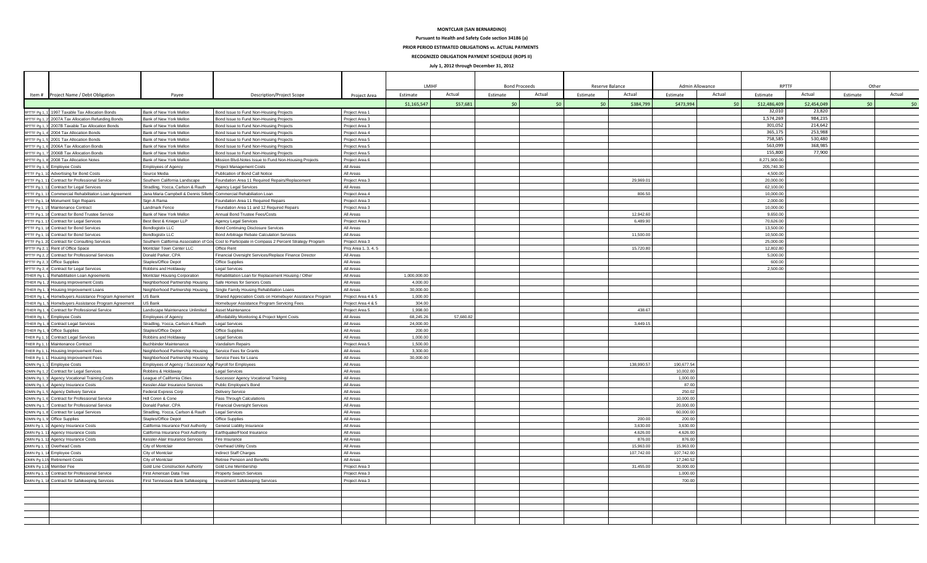#### **MONTCLAIR (SAN BERNARDINO)**

**Pursuant to Health and Safety Code section 34186 (a)**

**PRIOR PERIOD ESTIMATED OBLIGATIONS vs. ACTUAL PAYMENTS** 

**RECOGNIZED OBLIGATION PAYMENT SCHEDULE (ROPS II)**

**July 1, 2012 through December 31, 2012**

|                                |                                                                                                                  |                                                                     |                                                                                                  |                                          | <b>I MIHE</b>      |           | <b>Bond Proceeds</b> |        | Reserve Balance    | Admin Allowance     | <b>RPTTF</b>           |             | Other    |        |
|--------------------------------|------------------------------------------------------------------------------------------------------------------|---------------------------------------------------------------------|--------------------------------------------------------------------------------------------------|------------------------------------------|--------------------|-----------|----------------------|--------|--------------------|---------------------|------------------------|-------------|----------|--------|
|                                | Item # Project Name / Debt Obligation                                                                            | Payee                                                               | <b>Description/Project Scope</b>                                                                 | Project Area                             | Estimate           | Actual    | Estimate             | Actual | Actual<br>Estimate | Actua<br>Estimate   | Estimate               | Actual      | Estimate | Actual |
|                                |                                                                                                                  |                                                                     |                                                                                                  |                                          | \$1,165,547        | \$57,681  | 50                   | 50     | \$384,799          | \$473,994<br>50     | \$12,486,409           | \$2,454,049 | 50       |        |
| RPTTF Pg 1, 1                  | 1997 Taxable Tax Allocation Bonds                                                                                | Bank of New York Mellon                                             | Bond Issue to Fund Non-Housing Projects                                                          | Project Area 1                           |                    |           |                      |        |                    |                     | 32,010                 | 23,820      |          |        |
| FTF Pa 1.                      | 2007A Tax Allocation Refunding Bonds                                                                             | Bank of New York Mellon                                             | Bond Issue to Fund Non-Housing Projects                                                          | Project Area 3                           |                    |           |                      |        |                    |                     | 1,574,269              | 984.235     |          |        |
| TTF Pg 1, 3                    | 2007B Taxable Tax Allocation Bonds                                                                               | Bank of New York Mellon                                             | Bond Issue to Fund Non-Housing Projects                                                          | Project Area 3                           |                    |           |                      |        |                    |                     | 301,052                | 214,642     |          |        |
| <b>TTF Pg 1, 4</b>             | 2004 Tax Allocation Bonds                                                                                        | Bank of New York Mellon                                             | Bond Issue to Fund Non-Housing Projects                                                          | Project Area 4                           |                    |           |                      |        |                    |                     | 365,175                | 253,988     |          |        |
| <b>TTF Pg 1.5</b>              | 2001 Tax Allocation Bonds                                                                                        | Bank of New York Mellon                                             | Bond Issue to Fund Non-Housing Projects                                                          | Project Area 5                           |                    |           |                      |        |                    |                     | 758,585                | 530,480     |          |        |
| TTF Pg 1,                      | 2006A Tax Allocation Bonds                                                                                       | Bank of New York Mellon                                             | Bond Issue to Fund Non-Housing Projects                                                          | Project Area 5                           |                    |           |                      |        |                    |                     | 563,099                | 368.985     |          |        |
| RPTTF Pa 1.                    | 2006B Tax Allocation Bonds                                                                                       | Bank of New York Mellon                                             | Bond Issue to Fund Non-Housing Projects                                                          | Project Area 5                           |                    |           |                      |        |                    |                     | 155,800                | 77,900      |          |        |
|                                | RPTTF Pg 1, 8 2008 Tax Allocation Notes                                                                          | Bank of New York Mellon                                             | Mission Blvd-Notes Issue to Fund Non-Housing Projects                                            | Project Area 6                           |                    |           |                      |        |                    |                     | 8.271.900.00           |             |          |        |
| RPTTF Pg 1, 9                  | <b>Employee Costs</b>                                                                                            | Employees of Agency                                                 | <b>Project Management Costs</b>                                                                  | All Areas                                |                    |           |                      |        |                    |                     | 205.740.30             |             |          |        |
| PTTF Pg 1, 10                  | Advertising for Bond Costs                                                                                       | Source Media                                                        | Publication of Bond Call Notice                                                                  | All Areas                                |                    |           |                      |        |                    |                     | 4.500.00               |             |          |        |
| TTF Pg 1, 11                   | Contract for Professional Service                                                                                | Southern California Landscape<br>Stradling, Yocca, Carlson & Rauth  | Foundation Area 11 Required Repairs/Replacement                                                  | Project Area 3<br>All Areas              |                    |           |                      |        | 29,969.0           |                     | 20,000.00<br>62.100.00 |             |          |        |
|                                | PTTF Pg 1, 12 Contract for Legal Services<br>Commercial Rehabilitation Loan Agreement                            | Jana Maria Campbell & Dennis Silletto Commercial Rehabiliation Loan | <b>Agency Legal Services</b>                                                                     | Project Area 4                           |                    |           |                      |        | 806.50             |                     | 10,000.00              |             |          |        |
| PTTF Pg 1, 13                  | PTTF Pg 1, 14 Monument Sign Repairs                                                                              | Sign A Rama                                                         | Foundation Area 11 Required Repairs                                                              | Project Area 3                           |                    |           |                      |        |                    |                     | 2,000.00               |             |          |        |
| PTTF Pg 1, 15                  | Maintenance Contract                                                                                             | Landmark Fence                                                      | Foundation Area 11 and 12 Required Repairs                                                       | Project Area 3                           |                    |           |                      |        |                    |                     | 10,000.00              |             |          |        |
|                                | <b>IPTTF Pg 1, 16 Contract for Bond Trustee Service</b>                                                          | Bank of New York Mellon                                             | Annual Bond Trustee Fees/Costs                                                                   | All Areas                                |                    |           |                      |        | 12 942 60          |                     | 9.650.00               |             |          |        |
|                                | PTTF Pg 1, 17 Contract for Legal Services                                                                        | Best Best & Krieger LLP                                             | Agency Legal Services                                                                            | Project Area 3                           |                    |           |                      |        | 6,489.90           |                     | 70,626.00              |             |          |        |
|                                | PTTF Pg 1, 18 Contract for Bond Services                                                                         | Bondlogistix LLC                                                    | <b>Bond Continuing Disclosure Services</b>                                                       | All Areas                                |                    |           |                      |        |                    |                     | 13.500.00              |             |          |        |
| PTTF Pg 1, 19                  | Contract for Bond Services                                                                                       | <b>Bondlogistix LLC</b>                                             | Bond Arbitrage Rebate Calculation Services                                                       | All Areas                                |                    |           |                      |        | 11,500.0           |                     | 10,500.00              |             |          |        |
|                                | PTTF Pg 1, 20 Contract for Consulting Services                                                                   |                                                                     | Southern California Association of Gov Cost to Participate in Compass 2 Percent Strategy Program | Project Area 3                           |                    |           |                      |        |                    |                     | 25.000.00              |             |          |        |
| RPTTF Pg 2, 1                  | Rent of Office Space                                                                                             | Montclair Town Center LLC                                           | Office Rent                                                                                      | Proj Area 1, 3, 4, 5                     |                    |           |                      |        | 15,720.80          |                     | 12.802.80              |             |          |        |
| TTF Pa 2.                      | <b>Contract for Professional Services</b>                                                                        | Donald Parker, CPA                                                  | Financial Oversight Services/Replace Finance Director                                            | All Areas                                |                    |           |                      |        |                    |                     | 5,000.00               |             |          |        |
| RPTTF Pg 2,                    | Office Supplies                                                                                                  | Staples/Office Depot                                                | Office Supplies                                                                                  | All Areas                                |                    |           |                      |        |                    |                     | 600.00                 |             |          |        |
| RPTTF Pg 2, 4                  | Contract for Legal Services                                                                                      | Robbins and Holdaway                                                | <b>Legal Services</b>                                                                            | All Areas                                |                    |           |                      |        |                    |                     | 2,500.00               |             |          |        |
|                                | OTHER Pg 1, 1 Rehabilitation Loan Agreements                                                                     | Montclair Housing Corporation                                       | Rehabilitation Loan for Replacement Housing / Other                                              | All Areas                                | 1,000,000.00       |           |                      |        |                    |                     |                        |             |          |        |
|                                | OTHER Pg 1, 2 Housing Improvement Costs                                                                          | Neighborhood Partnership Housing                                    | Safe Homes for Seniors Costs                                                                     | All Areas                                | 4,000.00           |           |                      |        |                    |                     |                        |             |          |        |
| OTHER Pg 1,                    | Housing Improvement Loans                                                                                        | Neighborhood Partnership Housing                                    | Single Family Housing Rehabiliation Loans                                                        | All Areas                                | 30,000,00          |           |                      |        |                    |                     |                        |             |          |        |
|                                | OTHER Pg 1, 4 Homebuyers Assistance Program Agreement                                                            | US Bank                                                             | Shared Appreciation Costs on Homebuyer Assistance Program                                        | Project Area 4 & 5<br>Project Area 4 & 5 | 1,000.00<br>304.00 |           |                      |        |                    |                     |                        |             |          |        |
|                                | OTHER Pg 1, 5 Homebuyers Assistance Program Agreement US Bank<br>OTHER Pg 1, 6 Contract for Professional Service | Landscape Maintenance Unlimited                                     | Homebuyer Assistance Program Servicing Fees<br>Asset Maintenance                                 | Project Area 5                           | 1,998.00           |           |                      |        | 438.67             |                     |                        |             |          |        |
|                                | OTHER Pg 1, 7 Employee Costs                                                                                     | Employees of Agency                                                 | Affordability Monitoring & Project Mgmt Costs                                                    | All Areas                                | 68,245.26          | 57,680.82 |                      |        |                    |                     |                        |             |          |        |
| OTHER Pg 1, 8                  | <b>Contract Legal Services</b>                                                                                   | Stradling, Yocca, Carlson & Rauth                                   | <b>Legal Services</b>                                                                            | All Areas                                | 24,000.00          |           |                      |        | 3,449.15           |                     |                        |             |          |        |
|                                | OTHER Pg 1, 9 Office Supplies                                                                                    | Staples/Office Depot                                                | Office Supplies                                                                                  | All Areas                                | 200.00             |           |                      |        |                    |                     |                        |             |          |        |
| THER Pg 1, 10                  | <b>Contract Legal Services</b>                                                                                   | Robbins and Holdaway                                                | <b>Legal Services</b>                                                                            | All Areas                                | 1,000.00           |           |                      |        |                    |                     |                        |             |          |        |
| THER Pg 1, 1                   | Maintenance Contract                                                                                             | <b>Buchbinder Maintenance</b>                                       | Vandalism Repairs                                                                                | Project Area 5                           | 1.500.00           |           |                      |        |                    |                     |                        |             |          |        |
| THER Pg 1, 1                   | Housing Improvement Fees                                                                                         | Neighborhood Partnership Housing                                    | Service Fees for Grants                                                                          | All Areas                                | 3,300.00           |           |                      |        |                    |                     |                        |             |          |        |
| THER Pg 1, 13                  | Housing Improvement Fees                                                                                         | Neighborhood Partnership Housing                                    | Service Fees for Loans                                                                           | All Areas                                | 30,000.00          |           |                      |        |                    |                     |                        |             |          |        |
| ADMIN Pg 1, 1                  | <b>Employee Costs</b>                                                                                            | Employees of Agency / Successor Age Payroll for Employees           |                                                                                                  | All Areas                                |                    |           |                      |        | 138,990.57         | 190,677.54          |                        |             |          |        |
| ADMIN Pg 1, :                  | Contract for Legal Services                                                                                      | Robbins & Holdaway                                                  | <b>Legal Services</b>                                                                            | All Areas                                |                    |           |                      |        |                    | 10,002.00           |                        |             |          |        |
| ADMIN Pg 1, 3                  | <b>Agency Vocational Training Costs</b>                                                                          | League of California Cities                                         | Successor Agency Vocational Training                                                             | All Areas                                |                    |           |                      |        |                    | 1,000.00            |                        |             |          |        |
|                                | ADMIN Pg 1, 4 Agency Insurance Costs                                                                             | Kessler-Alair Insurance Services                                    | Public Employee's Bond                                                                           | All Areas                                |                    |           |                      |        |                    | 87.00               |                        |             |          |        |
| ADMIN Pg 1, 5<br>ADMIN Pg 1, 6 | <b>Agency Delivery Service</b><br>Contract for Professional Service                                              | Federal Express Corp<br>Hdl Coren & Cone                            | <b>Delivery Service</b><br>Pass Through Calculations                                             | All Areas<br>All Areas                   |                    |           |                      |        |                    | 250.02<br>10,000.00 |                        |             |          |        |
| ADMIN Pg 1,                    | Contract for Professional Service                                                                                | Donald Parker, CPA                                                  | <b>Financial Oversight Services</b>                                                              | All Areas                                |                    |           |                      |        |                    | 20,000.00           |                        |             |          |        |
| ADMIN Pg 1, 8                  | Contract for Legal Services                                                                                      | Stradling, Yocca, Carlson & Rauth                                   | <b>Legal Services</b>                                                                            | All Areas                                |                    |           |                      |        |                    | 60,000.00           |                        |             |          |        |
| ADMIN Pg 1, 9                  | Office Supplies                                                                                                  | Staples/Office Depot                                                | Office Supplies                                                                                  | All Areas                                |                    |           |                      |        | 200.00             | 200.00              |                        |             |          |        |
| DMIN Pg 1, 10                  | Agency Insurance Costs                                                                                           | California Insurance Pool Authority                                 | General Liablity Insurance                                                                       | All Areas                                |                    |           |                      |        | 3,630.0            | 3,630.00            |                        |             |          |        |
|                                | DMIN Pg 1, 11 Agency Insurance Costs                                                                             | California Insurance Pool Authority                                 | Earthquake/Flood Insurance                                                                       | All Areas                                |                    |           |                      |        | 4.626.0            | 4,626.00            |                        |             |          |        |
| DMIN Pg 1, 12                  | Agency Insurance Costs                                                                                           | Kessler-Alair Insurance Services                                    | Fire Insurance                                                                                   | All Areas                                |                    |           |                      |        | 876.00             | 876.00              |                        |             |          |        |
|                                | DMIN Pg 1, 13 Overhead Costs                                                                                     | City of Montclair                                                   | Overhead Utility Costs                                                                           | All Areas                                |                    |           |                      |        | 15,963.00          | 15.963.00           |                        |             |          |        |
|                                | DMIN Pg 1, 14 Employee Costs                                                                                     | City of Montclair                                                   | <b>Indirect Staff Charges</b>                                                                    | All Areas                                |                    |           |                      |        | 107,742.0          | 107,742.00          |                        |             |          |        |
| ADMIN Pg 1,15                  | <b>Retirement Costs</b>                                                                                          | City of Montclair                                                   | Retiree Pension and Benefits                                                                     | All Areas                                |                    |           |                      |        |                    | 17.240.52           |                        |             |          |        |
| DMIN Pg 1,16                   | Member Fee                                                                                                       | Gold Line Construction Authority                                    | Gold Line Membership                                                                             | Project Area 3                           |                    |           |                      |        | 31,455.0           | 30,000.00           |                        |             |          |        |
|                                | DMIN Pg 1, 17 Contract for Professional Service                                                                  | First American Data Tree                                            | Property Search Services                                                                         | Project Area 3                           |                    |           |                      |        |                    | 1.000.00            |                        |             |          |        |
|                                | DMIN Pg 1, 18 Contract for Safekeeping Services                                                                  | First Tennessee Bank Safekeeping                                    | Investment Safekeeping Services                                                                  | Project Area 3                           |                    |           |                      |        |                    | 700.00              |                        |             |          |        |
|                                |                                                                                                                  |                                                                     |                                                                                                  |                                          |                    |           |                      |        |                    |                     |                        |             |          |        |
|                                |                                                                                                                  |                                                                     |                                                                                                  |                                          |                    |           |                      |        |                    |                     |                        |             |          |        |
|                                |                                                                                                                  |                                                                     |                                                                                                  |                                          |                    |           |                      |        |                    |                     |                        |             |          |        |
|                                |                                                                                                                  |                                                                     |                                                                                                  |                                          |                    |           |                      |        |                    |                     |                        |             |          |        |
|                                |                                                                                                                  |                                                                     |                                                                                                  |                                          |                    |           |                      |        |                    |                     |                        |             |          |        |
|                                |                                                                                                                  |                                                                     |                                                                                                  |                                          |                    |           |                      |        |                    |                     |                        |             |          |        |